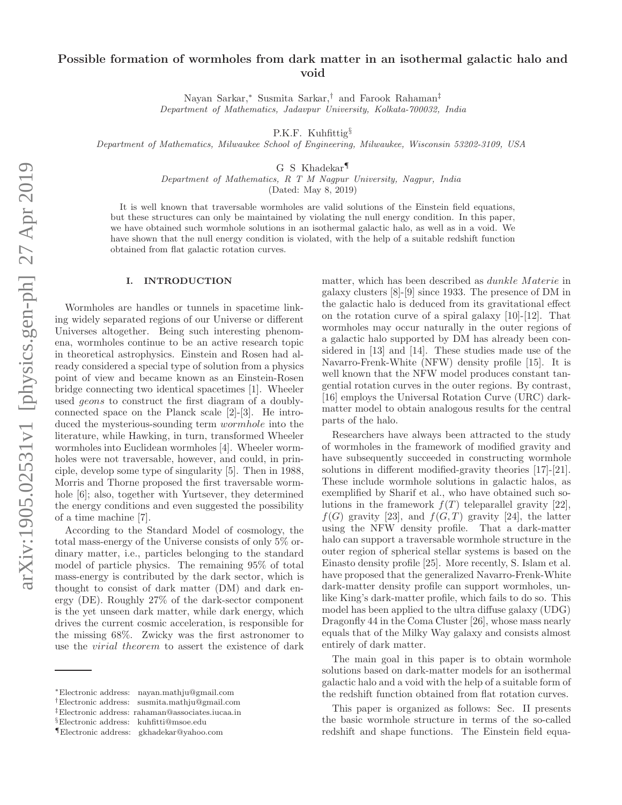# Possible formation of wormholes from dark matter in an isothermal galactic halo and void

Nayan Sarkar,<sup>∗</sup> Susmita Sarkar,† and Farook Rahaman‡ Department of Mathematics, Jadavpur University, Kolkata-700032, India

P.K.F. Kuhfittig<sup>§</sup>

Department of Mathematics, Milwaukee School of Engineering, Milwaukee, Wisconsin 53202-3109, USA

G S Khadekar¶

Department of Mathematics, R T M Nagpur University, Nagpur, India

(Dated: May 8, 2019)

It is well known that traversable wormholes are valid solutions of the Einstein field equations, but these structures can only be maintained by violating the null energy condition. In this paper, we have obtained such wormhole solutions in an isothermal galactic halo, as well as in a void. We have shown that the null energy condition is violated, with the help of a suitable redshift function obtained from flat galactic rotation curves.

#### I. INTRODUCTION

Wormholes are handles or tunnels in spacetime linking widely separated regions of our Universe or different Universes altogether. Being such interesting phenomena, wormholes continue to be an active research topic in theoretical astrophysics. Einstein and Rosen had already considered a special type of solution from a physics point of view and became known as an Einstein-Rosen bridge connecting two identical spacetimes [1]. Wheeler used geons to construct the first diagram of a doublyconnected space on the Planck scale [2]-[3]. He introduced the mysterious-sounding term wormhole into the literature, while Hawking, in turn, transformed Wheeler wormholes into Euclidean wormholes [4]. Wheeler wormholes were not traversable, however, and could, in principle, develop some type of singularity [5]. Then in 1988, Morris and Thorne proposed the first traversable wormhole [6]; also, together with Yurtsever, they determined the energy conditions and even suggested the possibility of a time machine [7].

According to the Standard Model of cosmology, the total mass-energy of the Universe consists of only 5% ordinary matter, i.e., particles belonging to the standard model of particle physics. The remaining 95% of total mass-energy is contributed by the dark sector, which is thought to consist of dark matter (DM) and dark energy (DE). Roughly 27% of the dark-sector component is the yet unseen dark matter, while dark energy, which drives the current cosmic acceleration, is responsible for the missing 68%. Zwicky was the first astronomer to use the virial theorem to assert the existence of dark

matter, which has been described as *dunkle Materie* in galaxy clusters [8]-[9] since 1933. The presence of DM in the galactic halo is deduced from its gravitational effect on the rotation curve of a spiral galaxy [10]-[12]. That wormholes may occur naturally in the outer regions of a galactic halo supported by DM has already been considered in [13] and [14]. These studies made use of the Navarro-Frenk-White (NFW) density profile [15]. It is well known that the NFW model produces constant tangential rotation curves in the outer regions. By contrast, [16] employs the Universal Rotation Curve (URC) darkmatter model to obtain analogous results for the central parts of the halo.

Researchers have always been attracted to the study of wormholes in the framework of modified gravity and have subsequently succeeded in constructing wormhole solutions in different modified-gravity theories [17]-[21]. These include wormhole solutions in galactic halos, as exemplified by Sharif et al., who have obtained such solutions in the framework  $f(T)$  teleparallel gravity [22],  $f(G)$  gravity [23], and  $f(G, T)$  gravity [24], the latter using the NFW density profile. That a dark-matter halo can support a traversable wormhole structure in the outer region of spherical stellar systems is based on the Einasto density profile [25]. More recently, S. Islam et al. have proposed that the generalized Navarro-Frenk-White dark-matter density profile can support wormholes, unlike King's dark-matter profile, which fails to do so. This model has been applied to the ultra diffuse galaxy (UDG) Dragonfly 44 in the Coma Cluster [26], whose mass nearly equals that of the Milky Way galaxy and consists almost entirely of dark matter.

The main goal in this paper is to obtain wormhole solutions based on dark-matter models for an isothermal galactic halo and a void with the help of a suitable form of the redshift function obtained from flat rotation curves.

This paper is organized as follows: Sec. II presents the basic wormhole structure in terms of the so-called redshift and shape functions. The Einstein field equa-

<sup>∗</sup>Electronic address: nayan.mathju@gmail.com

<sup>†</sup>Electronic address: susmita.mathju@gmail.com

<sup>‡</sup>Electronic address: rahaman@associates.iucaa.in

<sup>§</sup>Electronic address: kuhfitti@msoe.edu

<sup>¶</sup>Electronic address: gkhadekar@yahoo.com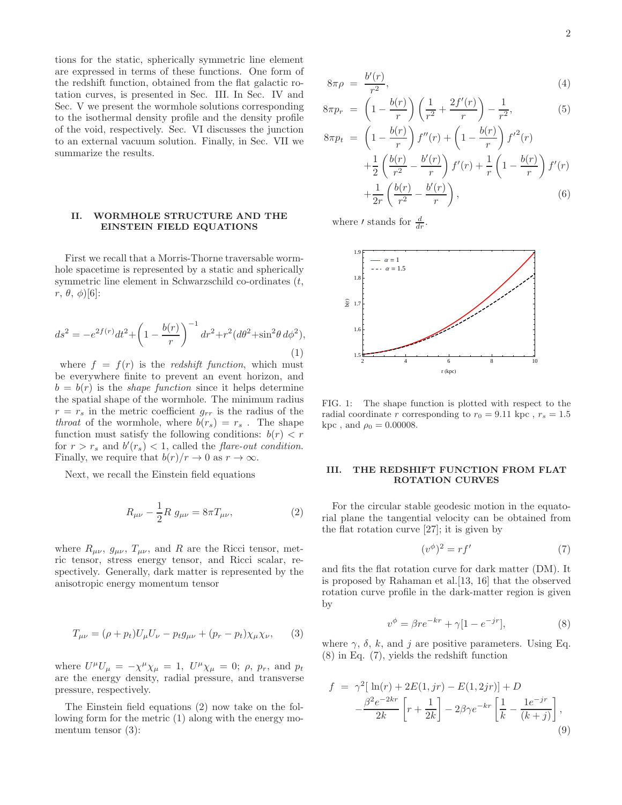tions for the static, spherically symmetric line element are expressed in terms of these functions. One form of the redshift function, obtained from the flat galactic rotation curves, is presented in Sec. III. In Sec. IV and Sec. V we present the wormhole solutions corresponding to the isothermal density profile and the density profile of the void, respectively. Sec. VI discusses the junction to an external vacuum solution. Finally, in Sec. VII we summarize the results.

# II. WORMHOLE STRUCTURE AND THE EINSTEIN FIELD EQUATIONS

First we recall that a Morris-Thorne traversable wormhole spacetime is represented by a static and spherically symmetric line element in Schwarzschild co-ordinates  $(t,$  $r, \theta, \phi$ <sup>[6]</sup>:

$$
ds^{2} = -e^{2f(r)}dt^{2} + \left(1 - \frac{b(r)}{r}\right)^{-1} dr^{2} + r^{2} (d\theta^{2} + \sin^{2}\theta d\phi^{2}),
$$
\n(1)

where  $f = f(r)$  is the *redshift function*, which must be everywhere finite to prevent an event horizon, and  $b = b(r)$  is the *shape function* since it helps determine the spatial shape of the wormhole. The minimum radius  $r = r_s$  in the metric coefficient  $g_{rr}$  is the radius of the throat of the wormhole, where  $b(r_s) = r_s$ . The shape function must satisfy the following conditions:  $b(r) < r$ for  $r > r_s$  and  $b'(r_s) < 1$ , called the *flare-out condition*. Finally, we require that  $b(r)/r \to 0$  as  $r \to \infty$ .

Next, we recall the Einstein field equations

$$
R_{\mu\nu} - \frac{1}{2}R \ g_{\mu\nu} = 8\pi T_{\mu\nu},\tag{2}
$$

where  $R_{\mu\nu}$ ,  $g_{\mu\nu}$ ,  $T_{\mu\nu}$ , and R are the Ricci tensor, metric tensor, stress energy tensor, and Ricci scalar, respectively. Generally, dark matter is represented by the anisotropic energy momentum tensor

$$
T_{\mu\nu} = (\rho + p_t)U_{\mu}U_{\nu} - p_t g_{\mu\nu} + (p_r - p_t)\chi_{\mu}\chi_{\nu}, \qquad (3)
$$

where  $U^{\mu}U_{\mu} = -\chi^{\mu}\chi_{\mu} = 1$ ,  $U^{\mu}\chi_{\mu} = 0$ ;  $\rho$ ,  $p_r$ , and  $p_t$ are the energy density, radial pressure, and transverse pressure, respectively.

The Einstein field equations (2) now take on the following form for the metric (1) along with the energy momentum tensor (3):

$$
8\pi\rho = \frac{b'(r)}{r^2},\tag{4}
$$

$$
8\pi p_r \ = \ \left(1 - \frac{b(r)}{r}\right) \left(\frac{1}{r^2} + \frac{2f'(r)}{r}\right) - \frac{1}{r^2},\tag{5}
$$

$$
8\pi p_t = \left(1 - \frac{b(r)}{r}\right) f''(r) + \left(1 - \frac{b(r)}{r}\right) f'^2(r) + \frac{1}{2} \left(\frac{b(r)}{r^2} - \frac{b'(r)}{r}\right) f'(r) + \frac{1}{r} \left(1 - \frac{b(r)}{r}\right) f'(r) + \frac{1}{2r} \left(\frac{b(r)}{r^2} - \frac{b'(r)}{r}\right),
$$
(6)

where *'* stands for  $\frac{d}{dr}$ .



FIG. 1: The shape function is plotted with respect to the radial coordinate r corresponding to  $r_0 = 9.11$  kpc,  $r_s = 1.5$ kpc, and  $\rho_0 = 0.00008$ .

# III. THE REDSHIFT FUNCTION FROM FLAT ROTATION CURVES

For the circular stable geodesic motion in the equatorial plane the tangential velocity can be obtained from the flat rotation curve [27]; it is given by

$$
(v^{\phi})^2 = rf'
$$
\n<sup>(7)</sup>

and fits the flat rotation curve for dark matter (DM). It is proposed by Rahaman et al.[13, 16] that the observed rotation curve profile in the dark-matter region is given by

$$
v^{\phi} = \beta r e^{-kr} + \gamma [1 - e^{-jr}], \qquad (8)
$$

where  $\gamma$ ,  $\delta$ ,  $k$ , and  $j$  are positive parameters. Using Eq. (8) in Eq. (7), yields the redshift function

$$
f = \gamma^2 [\ln(r) + 2E(1,jr) - E(1,2jr)] + D
$$

$$
-\frac{\beta^2 e^{-2kr}}{2k} \left[ r + \frac{1}{2k} \right] - 2\beta \gamma e^{-kr} \left[ \frac{1}{k} - \frac{1e^{-jr}}{(k+j)} \right],
$$

$$
(9)
$$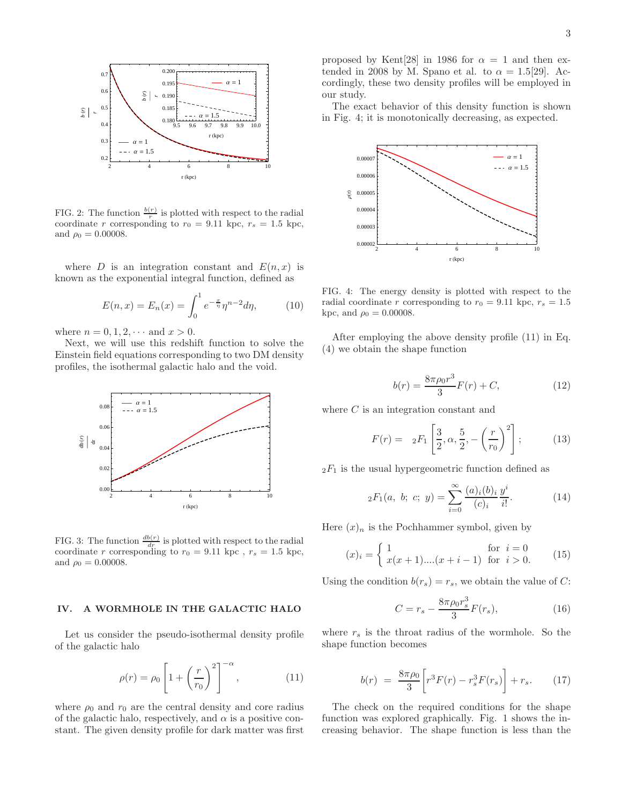

FIG. 2: The function  $\frac{b(r)}{r}$  is plotted with respect to the radial coordinate r corresponding to  $r_0 = 9.11$  kpc,  $r_s = 1.5$  kpc, and  $\rho_0 = 0.00008$ .

where D is an integration constant and  $E(n, x)$  is known as the exponential integral function, defined as

$$
E(n,x) = E_n(x) = \int_0^1 e^{-\frac{x}{\eta}} \eta^{n-2} d\eta,
$$
 (10)

where  $n = 0, 1, 2, \cdots$  and  $x > 0$ .

Next, we will use this redshift function to solve the Einstein field equations corresponding to two DM density profiles, the isothermal galactic halo and the void.



FIG. 3: The function  $\frac{db(r)}{dr}$  is plotted with respect to the radial coordinate r corresponding to  $r_0 = 9.11$  kpc,  $r_s = 1.5$  kpc, and  $\rho_0 = 0.00008$ .

#### IV. A WORMHOLE IN THE GALACTIC HALO

Let us consider the pseudo-isothermal density profile of the galactic halo

$$
\rho(r) = \rho_0 \left[ 1 + \left(\frac{r}{r_0}\right)^2 \right]^{-\alpha},\tag{11}
$$

where  $\rho_0$  and  $r_0$  are the central density and core radius of the galactic halo, respectively, and  $\alpha$  is a positive constant. The given density profile for dark matter was first

proposed by Kent[28] in 1986 for  $\alpha = 1$  and then extended in 2008 by M. Spano et al. to  $\alpha = 1.5[29]$ . Accordingly, these two density profiles will be employed in our study.

The exact behavior of this density function is shown in Fig. 4; it is monotonically decreasing, as expected.



FIG. 4: The energy density is plotted with respect to the radial coordinate r corresponding to  $r_0 = 9.11$  kpc,  $r_s = 1.5$ kpc, and  $\rho_0 = 0.00008$ .

After employing the above density profile (11) in Eq. (4) we obtain the shape function

$$
b(r) = \frac{8\pi\rho_0 r^3}{3}F(r) + C,\tag{12}
$$

where C is an integration constant and

$$
F(r) = 2F_1 \left[ \frac{3}{2}, \alpha, \frac{5}{2}, -\left(\frac{r}{r_0}\right)^2 \right];
$$
 (13)

 $2F_1$  is the usual hypergeometric function defined as

$$
{}_2F_1(a, b; c; y) = \sum_{i=0}^{\infty} \frac{(a)_i(b)_i}{(c)_i} \frac{y^i}{i!}.
$$
 (14)

Here  $(x)_n$  is the Pochhammer symbol, given by

$$
(x)_i = \begin{cases} 1 & \text{for } i = 0\\ x(x+1)...(x+i-1) & \text{for } i > 0. \end{cases}
$$
 (15)

Using the condition  $b(r_s) = r_s$ , we obtain the value of C:

$$
C = r_s - \frac{8\pi\rho_0 r_s^3}{3} F(r_s),
$$
\n(16)

where  $r_s$  is the throat radius of the wormhole. So the shape function becomes

$$
b(r) = \frac{8\pi\rho_0}{3} \left[ r^3 F(r) - r_s^3 F(r_s) \right] + r_s. \tag{17}
$$

The check on the required conditions for the shape function was explored graphically. Fig. 1 shows the increasing behavior. The shape function is less than the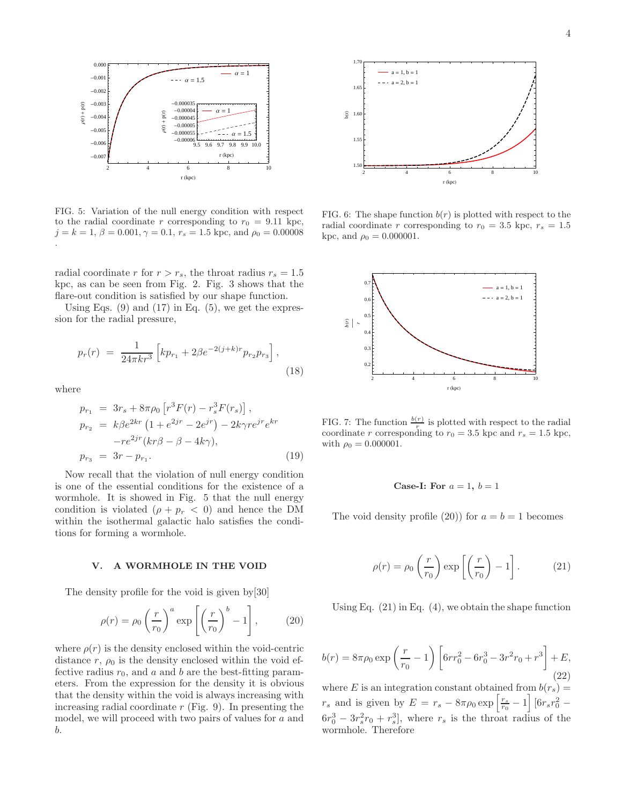

FIG. 5: Variation of the null energy condition with respect to the radial coordinate r corresponding to  $r_0 = 9.11$  kpc,  $j = k = 1, \beta = 0.001, \gamma = 0.1, r_s = 1.5$  kpc, and  $\rho_0 = 0.00008$ .

radial coordinate r for  $r > r_s$ , the throat radius  $r_s = 1.5$ kpc, as can be seen from Fig. 2. Fig. 3 shows that the flare-out condition is satisfied by our shape function.

Using Eqs.  $(9)$  and  $(17)$  in Eq.  $(5)$ , we get the expression for the radial pressure,

$$
p_r(r) = \frac{1}{24\pi kr^3} \left[ kp_{r_1} + 2\beta e^{-2(j+k)r} p_{r_2} p_{r_3} \right],
$$
\n(18)

where

$$
p_{r_1} = 3r_s + 8\pi \rho_0 \left[ r^3 F(r) - r_s^3 F(r_s) \right],
$$
  
\n
$$
p_{r_2} = k\beta e^{2kr} \left( 1 + e^{2jr} - 2e^{jr} \right) - 2k\gamma r e^{jr} e^{kr} - r e^{2jr} (kr\beta - \beta - 4k\gamma),
$$
  
\n
$$
p_{r_3} = 3r - p_{r_1}.
$$
\n(19)

Now recall that the violation of null energy condition is one of the essential conditions for the existence of a wormhole. It is showed in Fig. 5 that the null energy condition is violated  $(\rho + p_r < 0)$  and hence the DM within the isothermal galactic halo satisfies the conditions for forming a wormhole.

#### V. A WORMHOLE IN THE VOID

The density profile for the void is given by[30]

$$
\rho(r) = \rho_0 \left(\frac{r}{r_0}\right)^a \exp\left[\left(\frac{r}{r_0}\right)^b - 1\right],\tag{20}
$$

where  $\rho(r)$  is the density enclosed within the void-centric distance r,  $\rho_0$  is the density enclosed within the void effective radius  $r_0$ , and a and b are the best-fitting parameters. From the expression for the density it is obvious that the density within the void is always increasing with increasing radial coordinate  $r$  (Fig. 9). In presenting the model, we will proceed with two pairs of values for a and b.



FIG. 6: The shape function  $b(r)$  is plotted with respect to the radial coordinate r corresponding to  $r_0 = 3.5$  kpc,  $r_s = 1.5$ kpc, and  $\rho_0 = 0.000001$ .



FIG. 7: The function  $\frac{b(r)}{r}$  is plotted with respect to the radial coordinate r corresponding to  $r_0 = 3.5$  kpc and  $r_s = 1.5$  kpc, with  $\rho_0 = 0.000001$ .

# Case-I: For  $a = 1, b = 1$

The void density profile (20)) for  $a = b = 1$  becomes

$$
\rho(r) = \rho_0 \left(\frac{r}{r_0}\right) \exp\left[\left(\frac{r}{r_0}\right) - 1\right].
$$
 (21)

Using Eq.  $(21)$  in Eq.  $(4)$ , we obtain the shape function

$$
b(r) = 8\pi \rho_0 \exp\left(\frac{r}{r_0} - 1\right) \left[6rr_0^2 - 6r_0^3 - 3r^2r_0 + r^3\right] + E,
$$
\n(22)

where E is an integration constant obtained from  $b(r_s)$  =  $r_s$  and is given by  $E = r_s - 8\pi\rho_0 \exp\left[\frac{r_s}{r_0} - 1\right] [6r_s r_0^2 6r_0^3 - 3r_s^2r_0 + r_s^3$ , where  $r_s$  is the throat radius of the wormhole. Therefore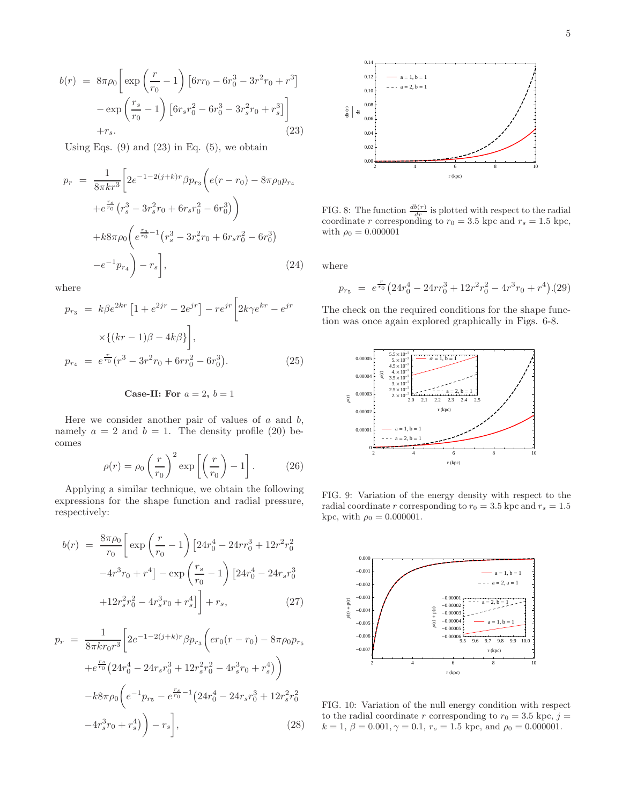$$
b(r) = 8\pi\rho_0 \left[ \exp\left(\frac{r}{r_0} - 1\right) \left[6rr_0 - 6r_0^3 - 3r^2r_0 + r^3\right] - \exp\left(\frac{r_s}{r_0} - 1\right) \left[6r_s r_0^2 - 6r_0^3 - 3r_s^2 r_0 + r_s^3\right] \right] + r_s.
$$
\n(23)

Using Eqs.  $(9)$  and  $(23)$  in Eq.  $(5)$ , we obtain

$$
p_r = \frac{1}{8\pi kr^3} \left[ 2e^{-1-2(j+k)r} \beta p_{r_3} \left( e(r - r_0) - 8\pi \rho_0 p_{r_4} \right) + e^{\frac{r_s}{r_0}} \left( r_s^3 - 3r_s^2 r_0 + 6r_s r_0^2 - 6r_0^3 \right) \right)
$$

$$
+ k8\pi \rho_0 \left( e^{\frac{r_s}{r_0} - 1} \left( r_s^3 - 3r_s^2 r_0 + 6r_s r_0^2 - 6r_0^3 \right) - e^{-1} p_{r_4} \right) - r_s \right], \tag{24}
$$

where

$$
p_{r_3} = k\beta e^{2kr} \left[ 1 + e^{2jr} - 2e^{jr} \right] - r e^{jr} \left[ 2k\gamma e^{kr} - e^{jr} \right]
$$

$$
\times \{ (kr - 1)\beta - 4k\beta \} \bigg],
$$

$$
p_{r_4} = e^{\frac{r}{r_0}} (r^3 - 3r^2 r_0 + 6r r_0^2 - 6r_0^3).
$$
(25)

# Case-II: For  $a = 2$ ,  $b = 1$

Here we consider another pair of values of  $a$  and  $b$ , namely  $a = 2$  and  $b = 1$ . The density profile (20) becomes

$$
\rho(r) = \rho_0 \left(\frac{r}{r_0}\right)^2 \exp\left[\left(\frac{r}{r_0}\right) - 1\right].
$$
 (26)

Applying a similar technique, we obtain the following expressions for the shape function and radial pressure, respectively:

$$
b(r) = \frac{8\pi\rho_0}{r_0} \left[ \exp\left(\frac{r}{r_0} - 1\right) \left[24r_0^4 - 24rr_0^3 + 12r^2r_0^2 -4r^3r_0 + r^4\right] - \exp\left(\frac{r_s}{r_0} - 1\right) \left[24r_0^4 - 24r_sr_0^3 +12r_s^2r_0^2 - 4r_s^3r_0 + r_s^4\right] \right] + r_s,
$$
 (27)

$$
p_r = \frac{1}{8\pi kr_0 r^3} \left[ 2e^{-1-2(j+k)r} \beta p_{r_3} \left( er_0(r - r_0) - 8\pi \rho_0 p_{r_5} \right) + e^{\frac{r_s}{r_0}} \left( 24r_0^4 - 24r_s r_0^3 + 12r_s^2 r_0^2 - 4r_s^3 r_0 + r_s^4 \right) \right)
$$

$$
-k8\pi \rho_0 \left( e^{-1} p_{r_5} - e^{\frac{r_s}{r_0} - 1} \left( 24r_0^4 - 24r_s r_0^3 + 12r_s^2 r_0^2 \right) - 4r_s^3 r_0 + r_s^4 \right) \right) - r_s \bigg],
$$
(28)



FIG. 8: The function  $\frac{db(r)}{dr}$  is plotted with respect to the radial coordinate r corresponding to  $r_0 = 3.5$  kpc and  $r_s = 1.5$  kpc, with  $\rho_0 = 0.000001$ 

where

$$
p_{r_5} = e^{\frac{r}{r_0}} (24r_0^4 - 24rr_0^3 + 12r^2r_0^2 - 4r^3r_0 + r^4) . (29)
$$

The check on the required conditions for the shape function was once again explored graphically in Figs. 6-8.



FIG. 9: Variation of the energy density with respect to the radial coordinate r corresponding to  $r_0 = 3.5$  kpc and  $r_s = 1.5$ kpc, with  $\rho_0 = 0.000001$ .



FIG. 10: Variation of the null energy condition with respect to the radial coordinate r corresponding to  $r_0 = 3.5$  kpc,  $j =$  $k = 1, \beta = 0.001, \gamma = 0.1, r_s = 1.5$  kpc, and  $\rho_0 = 0.000001$ .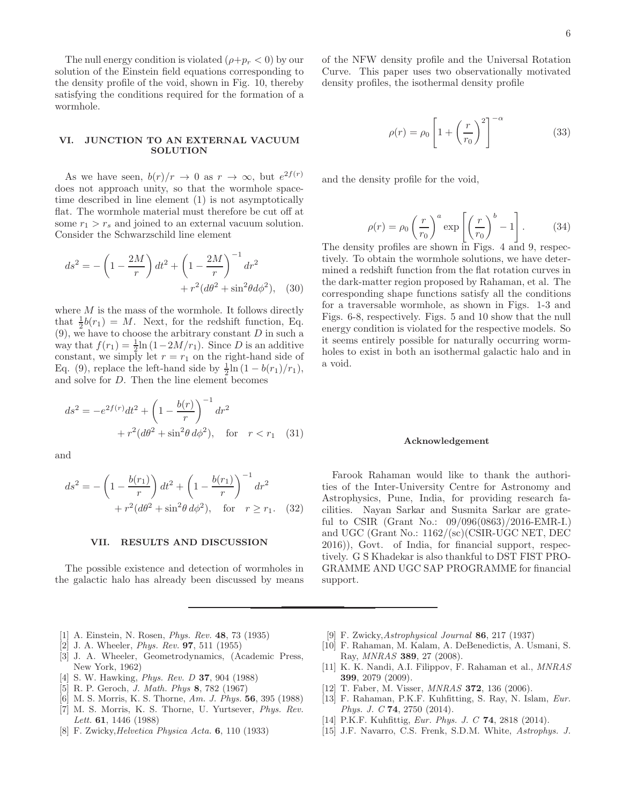The null energy condition is violated  $(\rho + p_r < 0)$  by our solution of the Einstein field equations corresponding to the density profile of the void, shown in Fig. 10, thereby satisfying the conditions required for the formation of a wormhole.

# VI. JUNCTION TO AN EXTERNAL VACUUM **SOLUTION**

As we have seen,  $b(r)/r \to 0$  as  $r \to \infty$ , but  $e^{2f(r)}$ does not approach unity, so that the wormhole spacetime described in line element (1) is not asymptotically flat. The wormhole material must therefore be cut off at some  $r_1 > r_s$  and joined to an external vacuum solution. Consider the Schwarzschild line element

$$
ds^{2} = -\left(1 - \frac{2M}{r}\right)dt^{2} + \left(1 - \frac{2M}{r}\right)^{-1}dr^{2} + r^{2}(d\theta^{2} + \sin^{2}\theta d\phi^{2}), \quad (30)
$$

where  $M$  is the mass of the wormhole. It follows directly that  $\frac{1}{2}b(r_1) = M$ . Next, for the redshift function, Eq.  $(9)$ , we have to choose the arbitrary constant D in such a way that  $f(r_1) = \frac{1}{2} \ln(1 - 2M/r_1)$ . Since D is an additive constant, we simply let  $r = r_1$  on the right-hand side of Eq. (9), replace the left-hand side by  $\frac{1}{2} \ln (1 - b(r_1)/r_1)$ , and solve for D. Then the line element becomes

$$
ds^{2} = -e^{2f(r)}dt^{2} + \left(1 - \frac{b(r)}{r}\right)^{-1}dr^{2} + r^{2}(d\theta^{2} + \sin^{2}\theta \, d\phi^{2}), \quad \text{for} \quad r < r_{1} \quad (31)
$$

and

$$
ds^{2} = -\left(1 - \frac{b(r_{1})}{r}\right)dt^{2} + \left(1 - \frac{b(r_{1})}{r}\right)^{-1}dr^{2} + r^{2}(d\theta^{2} + \sin^{2}\theta \, d\phi^{2}), \quad \text{for} \quad r \geq r_{1}. \quad (32)
$$

#### VII. RESULTS AND DISCUSSION

The possible existence and detection of wormholes in the galactic halo has already been discussed by means of the NFW density profile and the Universal Rotation Curve. This paper uses two observationally motivated density profiles, the isothermal density profile

$$
\rho(r) = \rho_0 \left[ 1 + \left(\frac{r}{r_0}\right)^2 \right]^{-\alpha} \tag{33}
$$

and the density profile for the void,

$$
\rho(r) = \rho_0 \left(\frac{r}{r_0}\right)^a \exp\left[\left(\frac{r}{r_0}\right)^b - 1\right].
$$
 (34)

The density profiles are shown in Figs. 4 and 9, respectively. To obtain the wormhole solutions, we have determined a redshift function from the flat rotation curves in the dark-matter region proposed by Rahaman, et al. The corresponding shape functions satisfy all the conditions for a traversable wormhole, as shown in Figs. 1-3 and Figs. 6-8, respectively. Figs. 5 and 10 show that the null energy condition is violated for the respective models. So it seems entirely possible for naturally occurring wormholes to exist in both an isothermal galactic halo and in a void.

#### Acknowledgement

Farook Rahaman would like to thank the authorities of the Inter-University Centre for Astronomy and Astrophysics, Pune, India, for providing research facilities. Nayan Sarkar and Susmita Sarkar are grateful to CSIR (Grant No.: 09/096(0863)/2016-EMR-I.) and UGC (Grant No.: 1162/(sc)(CSIR-UGC NET, DEC 2016)), Govt. of India, for financial support, respectively. G S Khadekar is also thankful to DST FIST PRO-GRAMME AND UGC SAP PROGRAMME for financial support.

- [1] A. Einstein, N. Rosen, Phys. Rev. 48, 73 (1935)
- [2] J. A. Wheeler, *Phys. Rev.* **97**, 511 (1955)
- [3] J. A. Wheeler, Geometrodynamics, (Academic Press, New York, 1962)
- [4] S. W. Hawking, Phys. Rev. D 37, 904 (1988)
- [5] R. P. Geroch, J. Math. Phys 8, 782 (1967)
- [6] M. S. Morris, K. S. Thorne, Am. J. Phys. **56**, 395 (1988)
- [7] M. S. Morris, K. S. Thorne, U. Yurtsever, Phys. Rev. Lett. **61**, 1446 (1988)
- [8] F. Zwicky,Helvetica Physica Acta. 6, 110 (1933)
- [9] F. Zwicky,Astrophysical Journal 86, 217 (1937)
- [10] F. Rahaman, M. Kalam, A. DeBenedictis, A. Usmani, S. Ray, MNRAS 389, 27 (2008).
- [11] K. K. Nandi, A.I. Filippov, F. Rahaman et al., MNRAS 399, 2079 (2009).
- [12] T. Faber, M. Visser, *MNRAS* **372**, 136 (2006).
- [13] F. Rahaman, P.K.F. Kuhfitting, S. Ray, N. Islam, Eur. Phys. J. C 74, 2750 (2014).
- [14] P.K.F. Kuhfittig, Eur. Phys. J. C 74, 2818 (2014).
- [15] J.F. Navarro, C.S. Frenk, S.D.M. White, Astrophys. J.